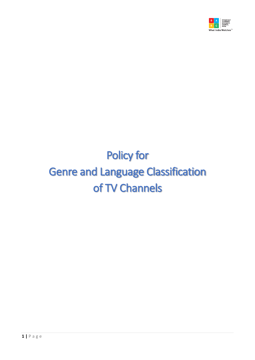

# Policy for Genre and Language Classification of TV Channels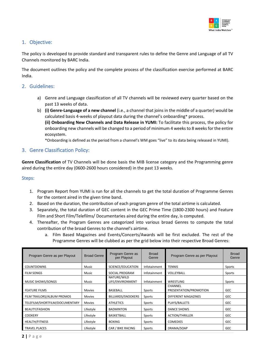

# 1. Objective:

The policy is developed to provide standard and transparent rules to define the Genre and Language of all TV Channels monitored by BARC India.

The document outlines the policy and the complete process of the classification exercise performed at BARC India.

# 2. Guidelines:

- a) Genre and Language classification of all TV channels will be reviewed every quarter based on the past 13 weeks of data.
- b) **(i) Genre-Language of a new channel** (i.e., a channel that joins in the middle of a quarter) would be calculated basis 4-weeks of playout data during the channel's onboarding\* process. **(ii) Onboarding New Channels and Data Release in YUMI:** To facilitate this process, the policy for onboarding new channels will be changed to a period of minimum 4 weeks to 8 weeks for the entire ecosystem.

\*Onboarding is defined as the period from a channel's WM goes "live" to its data being released in YUMI).

## 3. Genre Classification Policy:

**Genre Classification** of TV Channels will be done basis the MIB license category and the Programming genre aired during the entire day (0600-2600 hours considered) in the past 13 weeks.

#### Steps:

- 1. Program Report from YUMI is run for all the channels to get the total duration of Programme Genres for the content aired in the given time band.
- 2. Based on the duration, the contribution of each program genre of the total airtime is calculated.
- 3. Separately, the total duration of GEC content in the GEC Prime Time (1800-2300 hours) and Feature Film and Short Film/Telefilms/ Documentaries aired during the entire day, is computed.
- 4. Thereafter, the Program Genres are categorized into various broad Genres to compute the total contribution of the broad Genres to the channel's airtime.
	- a. Film Based Magazines and Events/Concerts/Awards will be first excluded. The rest of the Programme Genres will be clubbed as per the grid below into their respective Broad Genres:

| Program Genre as per Playout   | <b>Broad Genre</b> | Program Genre as<br>per Playout | <b>Broad</b><br>Genre | Program Genre as per Playout      | <b>Broad</b><br>Genre |
|--------------------------------|--------------------|---------------------------------|-----------------------|-----------------------------------|-----------------------|
| <b>COUNTDOWNS</b>              | Music              | SCIENCE/EDUCATION               | Infotainment          | <b>TENNIS</b>                     | Sports                |
| <b>FILM SONGS</b>              | Music              | SOCIAL PROGRAM                  | Infotainment          | VOLLEYBALL                        | Sports                |
| MUSIC SHOWS/SONGS              | Music              | NATURE/WILD<br>LIFE/ENVIRONMENT | Infotainment          | WRESTLING                         | Sports                |
| <b>FEATURE FILMS</b>           | <b>Movies</b>      | <b>BASEBALL</b>                 | Sports                | CHANNEL<br>PRESENTATION/PROMOTION | <b>GEC</b>            |
| FILM TRAILORS/ALBUM PROMOS     | <b>Movies</b>      | BILLIARDS/SNOOKERS              | Sports                | DIFFERENT MAGAZINES               | <b>GEC</b>            |
| TELEFILM/SHORTFILM/DOCUMENTARY | <b>Movies</b>      | <b>ATHLETICS</b>                | Sports                | PLAYS/BALLETS                     | <b>GEC</b>            |
| <b>BEAUTY/FASHION</b>          | Lifestyle          | <b>BADMINTON</b>                | Sports                | DANCE SHOWS                       | <b>GEC</b>            |
| <b>COOKERY</b>                 | Lifestyle          | BASKETBALL                      | Sports                | <b>ACTION/THRILLER</b>            | <b>GEC</b>            |
| <b>HEALTH/FITNESS</b>          | Lifestyle          | <b>BOXING</b>                   | Sports                | <b>COMEDIES</b>                   | <b>GEC</b>            |
| <b>TRAVEL PLACES</b>           | Lifestyle          | CAR / BIKE RACING               | Sports                | DRAMA/SOAP                        | <b>GEC</b>            |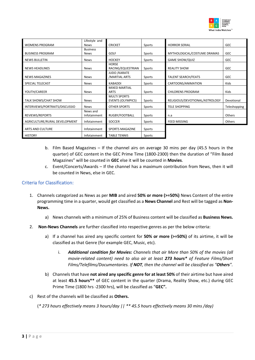

|                                | Lifestyle and   |                          |        |                                |              |
|--------------------------------|-----------------|--------------------------|--------|--------------------------------|--------------|
| <b>WOMENS PROGRAM</b>          | <b>News</b>     | <b>CRICKET</b>           | Sports | <b>HORROR SERIAL</b>           | <b>GEC</b>   |
|                                | <b>Business</b> |                          |        |                                |              |
| <b>BUSINESS PROGRAM</b>        | <b>News</b>     | GOLF                     | Sports | MYTHOLOGICAL/COSTUME DRAMAS    | <b>GEC</b>   |
| <b>NEWS BULLETIN</b>           | <b>News</b>     | <b>HOCKEY</b>            | Sports | <b>GAME SHOW/QUIZ</b>          | <b>GEC</b>   |
|                                |                 | <b>HORSE</b>             |        |                                |              |
| <b>NEWS HEADLINES</b>          | <b>News</b>     | RACING/EQUESTRIAN        | Sports | <b>REALITY SHOW</b>            | <b>GEC</b>   |
|                                |                 | JUDO / KARATE            |        |                                |              |
| <b>NEWS MAGAZINES</b>          | <b>News</b>     | /MARTIAL ARTS            | Sports | <b>TALENT SEARCH/FEATS</b>     | <b>GEC</b>   |
| <b>SPECIAL TELECAST</b>        | <b>News</b>     | <b>KABADDI</b>           | Sports | CARTOONS/ANIMATION             | Kids         |
|                                |                 | <b>MIXED MARTIAL</b>     |        |                                |              |
| YOUTH/CAREER                   | <b>News</b>     | <b>ARTS</b>              | Sports | <b>CHILDRENS PROGRAM</b>       | <b>Kids</b>  |
|                                |                 | <b>MULTI SPORTS</b>      |        |                                |              |
| TALK SHOWS/CHAT SHOW           | <b>News</b>     | <b>EVENTS (OLYMPICS)</b> | Sports | RELIGIOUS/DEVOTIONAL/ASTROLOGY | Devotional   |
| INTERVIEWS/PORTRAITS/DISCUSSIO | <b>News</b>     | <b>OTHER SPORTS</b>      | Sports | <b>TELE SHOPPING</b>           | Teleshopping |
|                                | News and        |                          |        |                                |              |
| REVIEWS/REPORTS                | Infotainment    | RUGBY/FOOTBALL           | Sports | n.a                            | Others       |
| AGRICULTURE/RURAL DEVELOPMENT  | Infotainment    | SOCCER                   | Sports | <b>FEED MISSING</b>            | Others       |
|                                |                 |                          |        |                                |              |
| <b>ARTS AND CULTURE</b>        | Infotainment    | <b>SPORTS MAGAZINE</b>   | Sports |                                |              |
| <b>HISTORY</b>                 | Infotainment    | <b>TABLE TENNIS</b>      | Sports |                                |              |

- b. Film Based Magazines If the channel airs on average 30 mins per day (45.5 hours in the quarter) of GEC content in the GEC Prime Time (1800-2300) then the duration of "Film Based Magazines" will be counted in **GEC** else it will be counted in **Movies**.
- c. Event/Concerts/Awards If the channel has a maximum contribution from News, then it will be counted in News, else in GEC.

## Criteria for Classification:

- 1. Channels categorized as News as per **MIB** and aired **50% or more (>=50%)** News Content of the entire programming time in a quarter, would get classified as a **News Channel** and Rest will be tagged as **Non-News.**
	- a) News channels with a minimum of 25% of Business content will be classified as **Business News.**
- 2. **Non-News Channels** are further classified into respective genres as per the below criteria:
	- a) If a channel has aired any specific content for **50% or more (>=50%)** of its airtime, it will be classified as that Genre (for example GEC, Music, etc).
		- i. *Additional condition for Movies: Channels that air More than 50% of the movies (all movie-related content) need to also air at least 273 hours\* of Feature Films/Short Films/Telefilms/Documentaries. If NOT, then the channel will be classified as "Others".*
	- b) Channels that have **not aired any specific genre for at least 50%** of their airtime but have aired at least **45.5 hours\*\*** of GEC content in the quarter (Drama, Reality Show, etc.) during GEC Prime Time (1800 hrs -2300 hrs), will be classified as "**GEC".**
- c) Rest of the channels will be classified as **Others.**

(*\* 273 hours effectively means 3 hours/day || \*\* 45.5 hours effectively means 30 mins /day)*